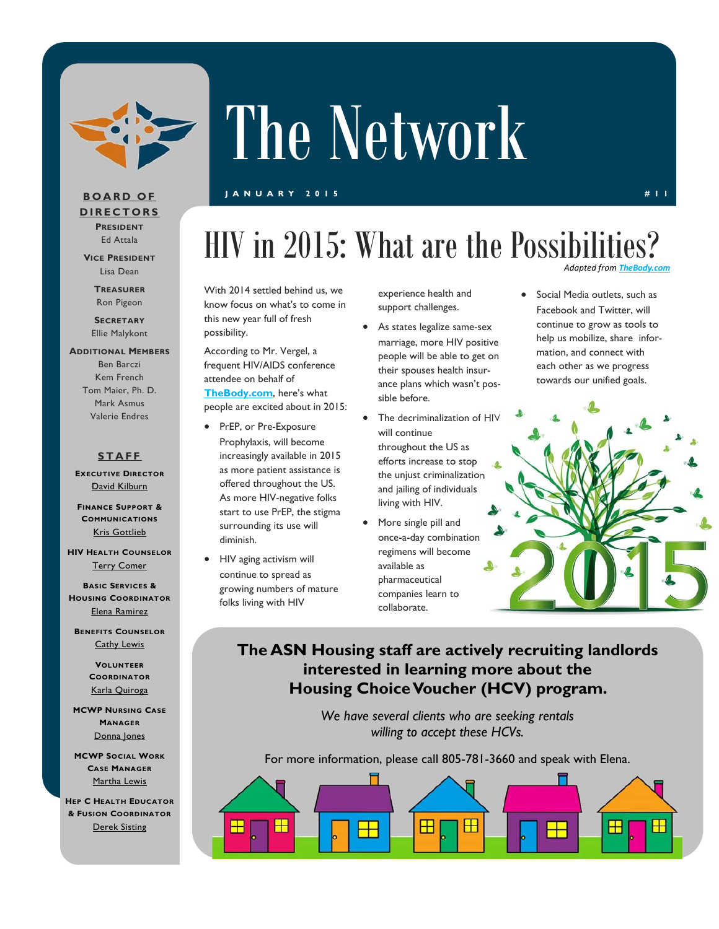

# The Network

### **JANUARY 2015 #11**

### **BOARD OF DIRECTORS PRESIDENT**

Ed Attala **VICE PRESIDENT**

Lisa Dean

**TREASURER** Ron Pigeon

**SECRETARY** Ellie Malykont

### **ADDITIONAL MEMBERS** Ben Barczi

Kem French Tom Maier, Ph. D. Mark Asmus Valerie Endres

### **STAFF**

**EXECUTIVE DIRECTOR** David Kilburn

**FINANCE SUPPORT & COMMUNICATIONS** Kris Gottlieb

**HIV HEALTH COUNSELOR** Terry Comer

**BASIC SERVICES & HOUSING COORDINATOR** Elena Ramirez

**BENEFITS COUNSELOR** Cathy Lewis

> **VOLUNTEER COORDINATOR** Karla Quiroga

**MCWP NURSING CASE MANAGER** Donna Jones

**MCWP SOCIAL WORK CASE MANAGER** Martha Lewis

**HEP C HEALTH EDUCATOR & FUSION COORDINATOR** Derek Sisting

### *Adapted from The* HIV in 2015: What are the Possibilities?

With 2014 settled behind us, we know focus on what's to come in this new year full of fresh possibility.

According to Mr. Vergel, a frequent HIV/AIDS conference attendee on behalf of **TheBody.com**, here's what

people are excited about in 2015:

- PrEP, or Pre-Exposure Prophylaxis, will become increasingly available in 2015 as more patient assistance is offered throughout the US. As more HIV-negative folks start to use PrEP, the stigma surrounding its use will diminish.
- HIV aging activism will continue to spread as growing numbers of mature folks living with HIV

experience health and support challenges.

- As states legalize same-sex marriage, more HIV positive people will be able to get on their spouses health insurance plans which wasn't possible before.
- The decriminalization of HIV will continue throughout the US as efforts increase to stop the unjust criminalization and jailing of individuals living with HIV.
- More single pill and once-a-day combination regimens will become available as pharmaceutical companies learn to collaborate.

• Social Media outlets, such as Facebook and Twitter, will continue to grow as tools to help us mobilize, share information, and connect with each other as we progress towards our unified goals.



### **The ASN Housing staff are actively recruiting landlords interested in learning more about the Housing Choice Voucher (HCV) program.**

*We have several clients who are seeking rentals willing to accept these HCVs.* 

For more information, please call 805-781-3660 and speak with Elena.

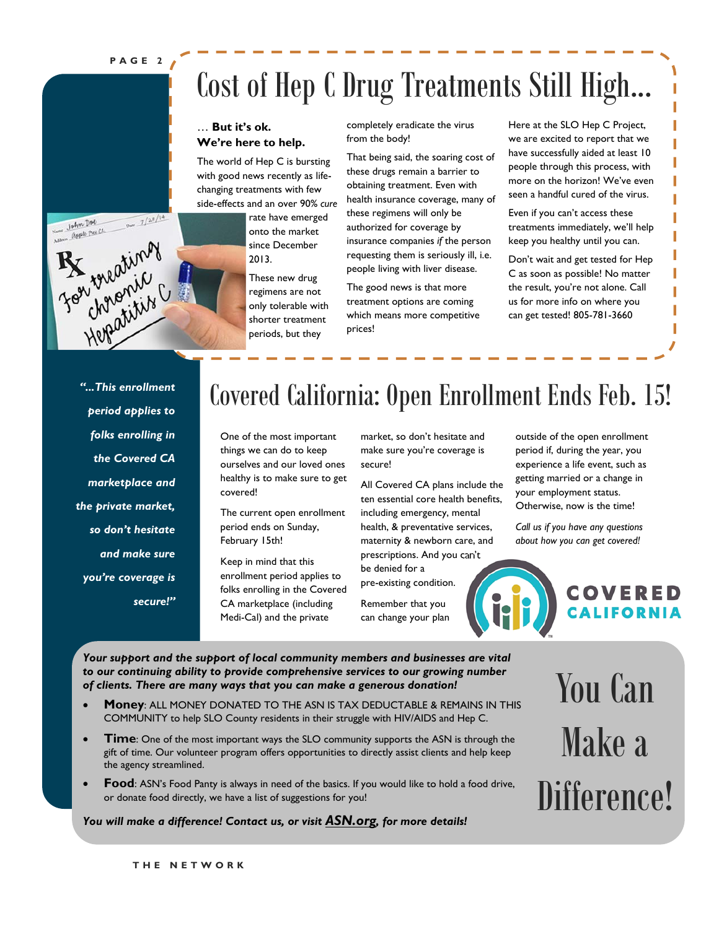**PAGE 2** 

 $\frac{7}{28}$ 

For treating

John Doc apple pree Ct.

## Cost of Hep C Drug Treatments Still High...

### … **But it's ok. We're here to help.**

The world of Hep C is bursting with good news recently as lifechanging treatments with few side-effects and an over 90% *cure* 

> rate have emerged onto the market since December 2013.

These new drug regimens are not only tolerable with shorter treatment periods, but they

completely eradicate the virus from the body!

That being said, the soaring cost of these drugs remain a barrier to obtaining treatment. Even with health insurance coverage, many of these regimens will only be authorized for coverage by insurance companies *if* the person requesting them is seriously ill, i.e. people living with liver disease.

The good news is that more treatment options are coming which means more competitive prices!

Here at the SLO Hep C Project, we are excited to report that we have successfully aided at least 10 people through this process, with more on the horizon! We've even seen a handful cured of the virus.

Even if you can't access these treatments immediately, we'll help keep you healthy until you can.

Don't wait and get tested for Hep C as soon as possible! No matter the result, you're not alone. Call us for more info on where you can get tested! 805-781-3660

*"...This enrollment period applies to folks enrolling in the Covered CA marketplace and the private market, so don't hesitate and make sure you're coverage is secure!"* 

### Covered California: Open Enrollment Ends Feb. 15!

One of the most important things we can do to keep ourselves and our loved ones healthy is to make sure to get covered!

The current open enrollment period ends on Sunday, February 15th!

Keep in mind that this enrollment period applies to folks enrolling in the Covered CA marketplace (including Medi-Cal) and the private

market, so don't hesitate and make sure you're coverage is secure!

All Covered CA plans include the ten essential core health benefits, including emergency, mental health, & preventative services, maternity & newborn care, and prescriptions. And you can't

be denied for a pre-existing condition.

Remember that you can change your plan outside of the open enrollment period if, during the year, you experience a life event, such as getting married or a change in your employment status. Otherwise, now is the time!

*Call us if you have any questions about how you can get covered!* 

## COVERED

*Your support and the support of local community members and businesses are vital to our continuing ability to provide comprehensive services to our growing number of clients. There are many ways that you can make a generous donation!* 

- **Money**: ALL MONEY DONATED TO THE ASN IS TAX DEDUCTABLE & REMAINS IN THIS COMMUNITY to help SLO County residents in their struggle with HIV/AIDS and Hep C.
- **Time**: One of the most important ways the SLO community supports the ASN is through the gift of time. Our volunteer program offers opportunities to directly assist clients and help keep the agency streamlined.
- **Food**: ASN's Food Panty is always in need of the basics. If you would like to hold a food drive, or donate food directly, we have a list of suggestions for you!

### *You will make a difference! Contact us, or visit ASN.org, for more details!*

You Can Make a Difference!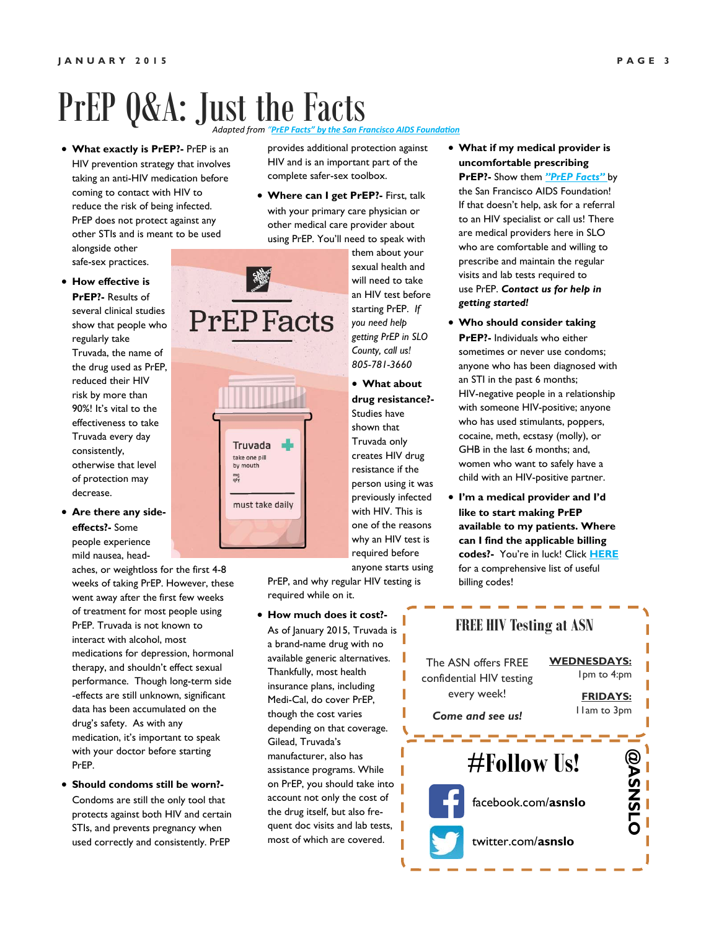### *Adapted from "PrEP Facts" by the San Francisco AIDS FoundaƟon* PrEP Q&A: Just the Facts

 **What exactly is PrEP?-** PrEP is an HIV prevention strategy that involves taking an anti-HIV medication before coming to contact with HIV to reduce the risk of being infected. PrEP does not protect against any other STIs and is meant to be used alongside other

safe-sex practices.

### **How effective is**

**PrEP?-** Results of several clinical studies show that people who regularly take Truvada, the name of the drug used as PrEP, reduced their HIV risk by more than 90%! It's vital to the effectiveness to take Truvada every day consistently, otherwise that level of protection may decrease.

 **Are there any sideeffects?-** Some people experience mild nausea, head-

aches, or weightloss for the first 4-8 weeks of taking PrEP. However, these went away after the first few weeks of treatment for most people using PrEP. Truvada is not known to interact with alcohol, most medications for depression, hormonal therapy, and shouldn't effect sexual performance. Though long-term side -effects are still unknown, significant data has been accumulated on the drug's safety. As with any medication, it's important to speak with your doctor before starting PrEP.

 **Should condoms still be worn?-**  Condoms are still the only tool that protects against both HIV and certain STIs, and prevents pregnancy when used correctly and consistently. PrEP

provides additional protection against HIV and is an important part of the complete safer-sex toolbox.

 **Where can I get PrEP?-** First, talk with your primary care physician or other medical care provider about using PrEP. You'll need to speak with



them about your sexual health and will need to take an HIV test before starting PrEP. *If you need help getting PrEP in SLO County, call us! 805-781-3660*

 **What about drug resistance?-**  Studies have shown that Truvada only creates HIV drug resistance if the person using it was previously infected with HIV. This is one of the reasons why an HIV test is required before anyone starts using

PrEP, and why regular HIV testing is required while on it.

 **How much does it cost?-**  As of January 2015, Truvada is a brand-name drug with no available generic alternatives. Thankfully, most health insurance plans, including Medi-Cal, do cover PrEP, though the cost varies depending on that coverage. Gilead, Truvada's manufacturer, also has assistance programs. While on PrEP, you should take into account not only the cost of the drug itself, but also frequent doc visits and lab tests, most of which are covered.

- **What if my medical provider is uncomfortable prescribing PrEP?-** Show them *"PrEP Facts"* by the San Francisco AIDS Foundation! If that doesn't help, ask for a referral to an HIV specialist or call us! There are medical providers here in SLO who are comfortable and willing to prescribe and maintain the regular visits and lab tests required to use PrEP. *Contact us for help in getting started!*
- **Who should consider taking PrEP?-** Individuals who either sometimes or never use condoms; anyone who has been diagnosed with an STI in the past 6 months; HIV-negative people in a relationship with someone HIV-positive; anyone who has used stimulants, poppers, cocaine, meth, ecstasy (molly), or GHB in the last 6 months; and, women who want to safely have a child with an HIV-positive partner.
- **I'm a medical provider and I'd like to start making PrEP available to my patients. Where can I find the applicable billing codes?-** You're in luck! Click **HERE** for a comprehensive list of useful billing codes!